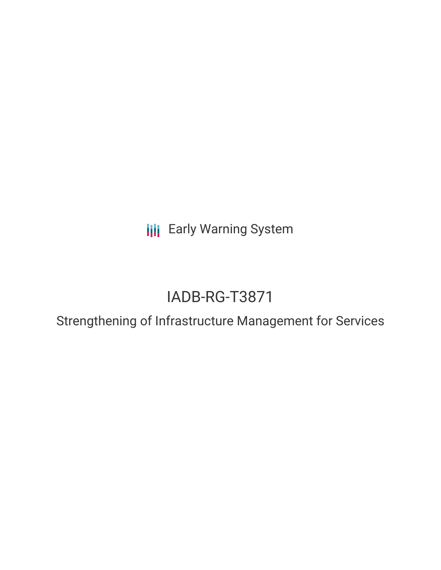**III** Early Warning System

# IADB-RG-T3871

Strengthening of Infrastructure Management for Services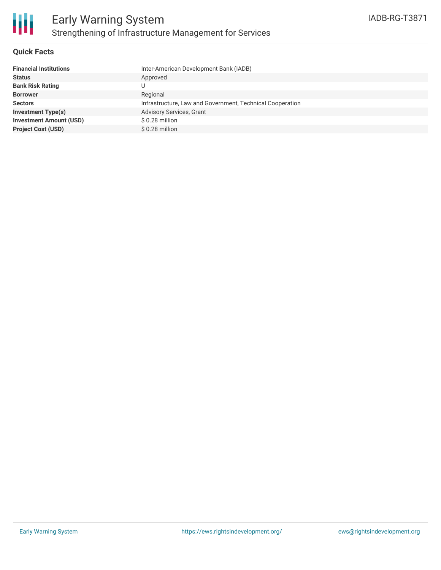

## **Quick Facts**

| <b>Financial Institutions</b>  | Inter-American Development Bank (IADB)                    |
|--------------------------------|-----------------------------------------------------------|
| <b>Status</b>                  | Approved                                                  |
| <b>Bank Risk Rating</b>        |                                                           |
| <b>Borrower</b>                | Regional                                                  |
| <b>Sectors</b>                 | Infrastructure, Law and Government, Technical Cooperation |
| <b>Investment Type(s)</b>      | <b>Advisory Services, Grant</b>                           |
| <b>Investment Amount (USD)</b> | \$0.28 million                                            |
| <b>Project Cost (USD)</b>      | \$0.28 million                                            |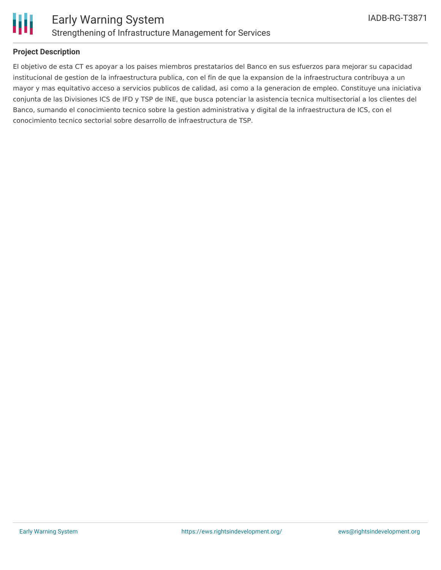

## **Project Description**

El objetivo de esta CT es apoyar a los paises miembros prestatarios del Banco en sus esfuerzos para mejorar su capacidad institucional de gestion de la infraestructura publica, con el fin de que la expansion de la infraestructura contribuya a un mayor y mas equitativo acceso a servicios publicos de calidad, asi como a la generacion de empleo. Constituye una iniciativa conjunta de las Divisiones ICS de IFD y TSP de INE, que busca potenciar la asistencia tecnica multisectorial a los clientes del Banco, sumando el conocimiento tecnico sobre la gestion administrativa y digital de la infraestructura de ICS, con el conocimiento tecnico sectorial sobre desarrollo de infraestructura de TSP.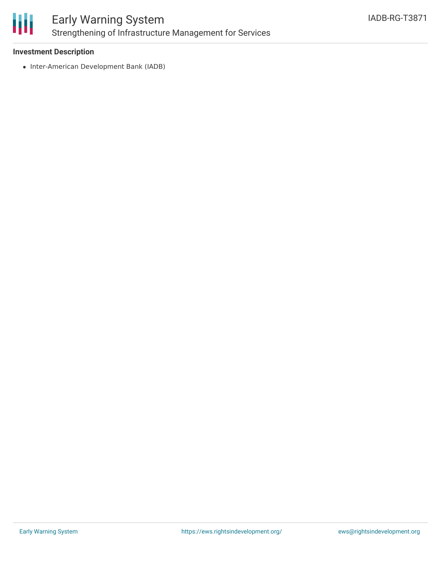

# **Investment Description**

• Inter-American Development Bank (IADB)